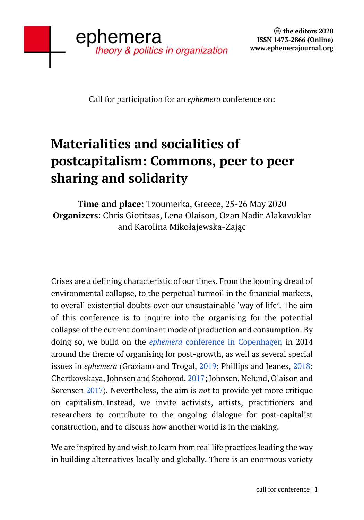Call for participation for an *ephemera* conference on:

## **Materialities and socialities of postcapitalism: Commons, peer to peer sharing and solidarity**

## **Time and place:** Tzoumerka, Greece, 25-26 May 2020 **Organizers**: Chris Giotitsas, Lena Olaison, Ozan Nadir Alakavuklar and Karolina Mikołajewska-Zając

Crises are a defining characteristic of our times. From the looming dread of environmental collapse, to the perpetual turmoil in the financial markets, to overall existential doubts over our unsustainable 'way of life'. The aim of this conference is to inquire into the organising for the potential collapse of the current dominant mode of production and consumption. By doing so, we build on the *ephemera* [conference in Copenhagen](http://www.ephemerajournal.org/events/organizing-post-growth-economy) in 2014 around the theme of organising for post-growth, as well as several special issues in *ephemera* (Graziano and Trogal, [2019;](http://www.ephemerajournal.org/issue/repair-matters) Phillips and Jeanes, [2018;](http://www.ephemerajournal.org/issue/what-are-alternatives-organising-socially-and-ecologically-sustainable-world) Chertkovskaya, Johnsen and Stoborod, [2017;](http://www.ephemerajournal.org/issue/whither-emergence) Johnsen, Nelund, Olaison and Sørensen [2017\)](http://www.ephemerajournal.org/issue/organizing-post-growth-economy). Nevertheless, the aim is *not* to provide yet more critique on capitalism. Instead, we invite activists, artists, practitioners and researchers to contribute to the ongoing dialogue for post-capitalist construction, and to discuss how another world is in the making.

We are inspired by and wish to learn from real life practices leading the way in building alternatives locally and globally. There is an enormous variety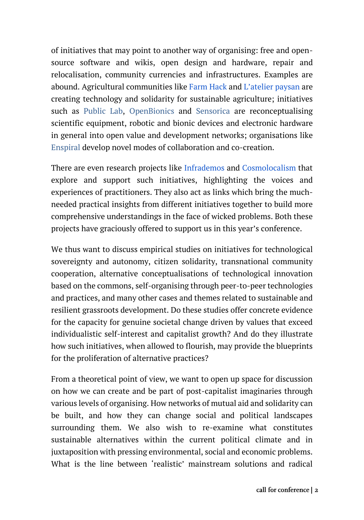of initiatives that may point to another way of organising: free and opensource software and wikis, open design and hardware, repair and relocalisation, community currencies and infrastructures. Examples are abound. Agricultural communities like [Farm Hack](https://farmhack.org/tools) and [L'atelier paysan](https://www.latelierpaysan.org/English) are creating technology and solidarity for sustainable agriculture; initiatives such as [Public Lab,](https://publiclab.org/) [OpenBionics](https://openbionics.org/) and [Sensorica](http://www.sensorica.co/home/about-us) are reconceptualising scientific equipment, robotic and bionic devices and electronic hardware in general into open value and development networks; organisations like [Enspiral](https://enspiral.com/) develop novel modes of collaboration and co-creation.

There are even research projects like [Infrademos](http://www.infrademos.net/) and [Cosmolocalism](https://www.cosmolocalism.eu/) that explore and support such initiatives, highlighting the voices and experiences of practitioners. They also act as links which bring the muchneeded practical insights from different initiatives together to build more comprehensive understandings in the face of wicked problems. Both these projects have graciously offered to support us in this year's conference.

We thus want to discuss empirical studies on initiatives for technological sovereignty and autonomy, citizen solidarity, transnational community cooperation, alternative conceptualisations of technological innovation based on the commons, self-organising through peer-to-peer technologies and practices, and many other cases and themes related to sustainable and resilient grassroots development. Do these studies offer concrete evidence for the capacity for genuine societal change driven by values that exceed individualistic self-interest and capitalist growth? And do they illustrate how such initiatives, when allowed to flourish, may provide the blueprints for the proliferation of alternative practices?

From a theoretical point of view, we want to open up space for discussion on how we can create and be part of post-capitalist imaginaries through various levels of organising. How networks of mutual aid and solidarity can be built, and how they can change social and political landscapes surrounding them. We also wish to re-examine what constitutes sustainable alternatives within the current political climate and in juxtaposition with pressing environmental, social and economic problems. What is the line between 'realistic' mainstream solutions and radical